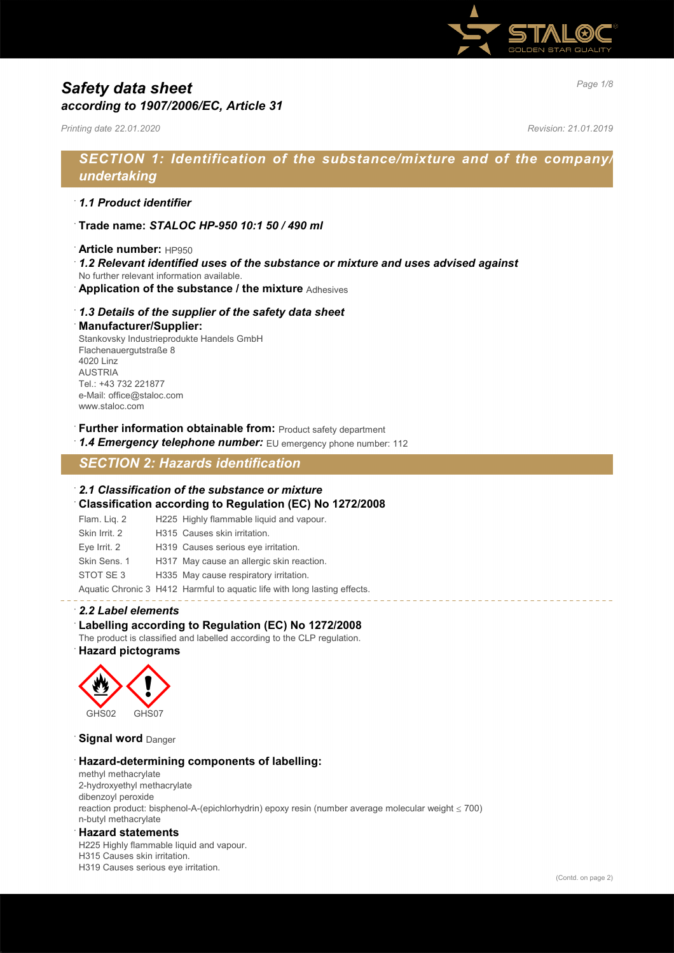

## *Page 1/8 Safety data sheet according to 1907/2006/EC, Article 31*

*Printing date 22.01.2020 Revision: 21.01.2019*

## *SECTION 1: Identification of the substance/mixture and of the company/ undertaking*

### · *1.1 Product identifier*

- · **Trade name:** *STALOC HP-950 10:1 50 / 490 ml*
- · **Article number:** HP950
- · *1.2 Relevant identified uses of the substance or mixture and uses advised against*
- No further relevant information available.
- · **Application of the substance / the mixture** Adhesives

### · *1.3 Details of the supplier of the safety data sheet*

#### · **Manufacturer/Supplier:**

Stankovsky Industrieprodukte Handels GmbH Flachenauergutstraße 8 4020 Linz AUSTRIA Tel.: +43 732 221877 e-Mail: office@staloc.com www.staloc.com

- **Further information obtainable from:** Product safety department
- 1.4 **Emergency telephone number:** EU emergency phone number: 112

## *SECTION 2: Hazards identification*

### · *2.1 Classification of the substance or mixture*

- · **Classification according to Regulation (EC) No 1272/2008**
- Flam. Liq. 2 H225 Highly flammable liquid and vapour. Skin Irrit. 2 H315 Causes skin irritation. Eye Irrit. 2 H319 Causes serious eye irritation. Skin Sens. 1 H317 May cause an allergic skin reaction. STOT SE 3 H335 May cause respiratory irritation.
- Aquatic Chronic 3 H412 Harmful to aquatic life with long lasting effects.

### · *2.2 Label elements*

### · **Labelling according to Regulation (EC) No 1272/2008**

The product is classified and labelled according to the CLP regulation.

### · **Hazard pictograms**



**Signal word** Danger

### · **Hazard-determining components of labelling:**

methyl methacrylate 2-hydroxyethyl methacrylate dibenzoyl peroxide reaction product: bisphenol-A-(epichlorhydrin) epoxy resin (number average molecular weight ≤ 700) n-butyl methacrylate

### · **Hazard statements**

H225 Highly flammable liquid and vapour. H315 Causes skin irritation. H319 Causes serious eye irritation.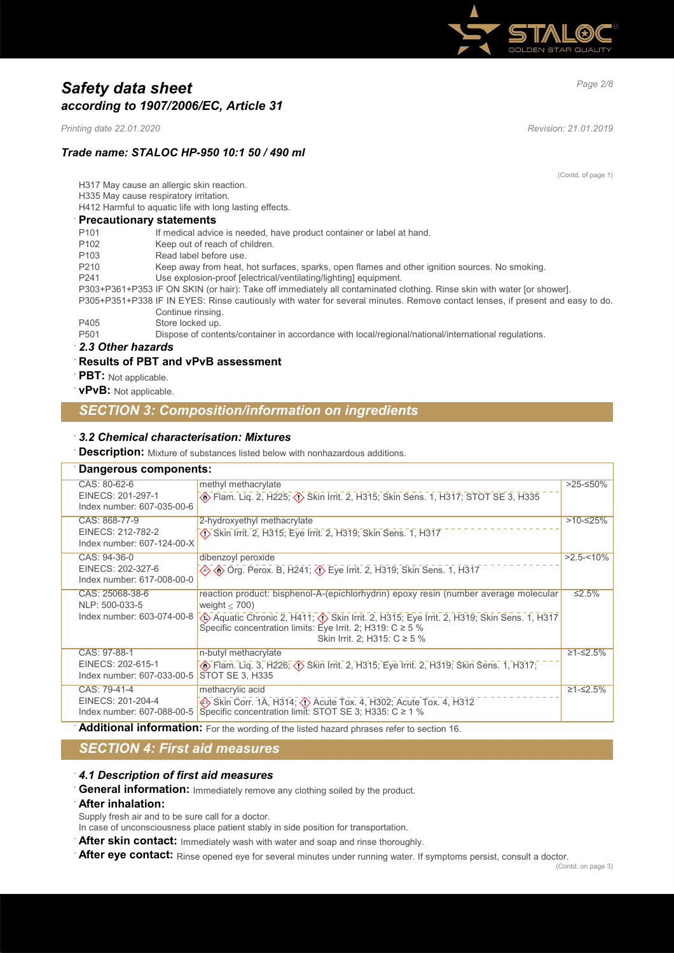

## *Page 2/8 Safety data sheet according to 1907/2006/EC, Article 31*

*Printing date 22.01.2020 Revision: 21.01.2019*

(Contd. of page 1)

### *Trade name: STALOC HP-950 10:1 50 / 490 ml*

H317 May cause an allergic skin reaction.

H335 May cause respiratory irritation.

H412 Harmful to aquatic life with long lasting effects.

### · **Precautionary statements**

| P <sub>101</sub>  | If medical advice is needed, have product container or label at hand.                                                         |
|-------------------|-------------------------------------------------------------------------------------------------------------------------------|
| P <sub>102</sub>  | Keep out of reach of children.                                                                                                |
| P <sub>103</sub>  | Read label before use.                                                                                                        |
| P <sub>210</sub>  | Keep away from heat, hot surfaces, sparks, open flames and other ignition sources. No smoking.                                |
| P <sub>241</sub>  | Use explosion-proof [electrical/ventilating/lighting] equipment.                                                              |
|                   | P303+P361+P353 IF ON SKIN (or hair): Take off immediately all contaminated clothing. Rinse skin with water [or shower].       |
|                   | P305+P351+P338 IF IN EYES: Rinse cautiously with water for several minutes. Remove contact lenses, if present and easy to do. |
|                   | Continue rinsing.                                                                                                             |
| P405              | Store locked up.                                                                                                              |
| P <sub>501</sub>  | Dispose of contents/container in accordance with local/regional/national/international regulations.                           |
| 2.3 Other hazards |                                                                                                                               |

### · *2.3 Other hazards*

### · **Results of PBT and vPvB assessment**

- · **PBT:** Not applicable.
- · **vPvB:** Not applicable.

## *SECTION 3: Composition/information on ingredients*

### · *3.2 Chemical characterisation: Mixtures*

**Description:** Mixture of substances listed below with nonhazardous additions.

## · **Dangerous components:**

| Bangerous components.                                            |                                                                                                                                                                                                                                                                                                                          |               |
|------------------------------------------------------------------|--------------------------------------------------------------------------------------------------------------------------------------------------------------------------------------------------------------------------------------------------------------------------------------------------------------------------|---------------|
| CAS: 80-62-6<br>EINECS: 201-297-1<br>Index number: 607-035-00-6  | methyl methacrylate                                                                                                                                                                                                                                                                                                      | >25-≤50%      |
| CAS: 868-77-9<br>EINECS: 212-782-2<br>Index number: 607-124-00-X | 2-hydroxyethyl methacrylate<br>Skin Irrit. 2, H315; Eye Irrit. 2, H319; Skin Sens. 1, H317                                                                                                                                                                                                                               | $>10-525%$    |
| CAS: 94-36-0<br>EINECS: 202-327-6<br>Index number: 617-008-00-0  | dibenzoyl peroxide<br>→ Trerox. B, H241; $\overline{\langle \cdot \rangle}$ Eye Irrit. 2, H319; Skin Sens. 1, H317                                                                                                                                                                                                       | $>2.5 - 10\%$ |
| CAS: 25068-38-6<br>NLP: 500-033-5<br>Index number: 603-074-00-8  | reaction product: bisphenol-A-(epichlorhydrin) epoxy resin (number average molecular<br>weight $<$ 700)<br>Expedient Paris, Aquatic Chronic 2, H411; < (1) Skin Irrit. 2, H315; Eye Irrit. 2, H319; Skin Sens. 1, H317<br>Specific concentration limits: Eye Irrit. 2; H319: $C \ge 5\%$<br>Skin Irrit. 2; H315: C ≥ 5 % | ≤2.5%         |
| CAS: 97-88-1<br>EINECS: 202-615-1<br>Index number: 607-033-00-5  | n-butyl methacrylate<br><b>A</b> Flam. Liq. 3, H226; <b>A</b> Skin Irrit. 2, H315; Eye Irrit. 2, H319; Skin Sens. 1, H317;<br><b>STOT SE 3, H335</b>                                                                                                                                                                     | $≥1-≤2.5%$    |
| CAS: 79-41-4<br>EINECS: 201-204-4                                | methacrylic acid<br>Skin Corr. 1A, H314; $\Diamond$ Acute Tox. 4, H302; Acute Tox. 4, H312<br>Index number: 607-088-00-5   Specific concentration limit: STOT SE 3; H335: C ≥ 1 %                                                                                                                                        | $≥1-≤2.5%$    |

Additional information: For the wording of the listed hazard phrases refer to section 16.

## *SECTION 4: First aid measures*

### · *4.1 Description of first aid measures*

General information: Immediately remove any clothing soiled by the product.

### · **After inhalation:**

Supply fresh air and to be sure call for a doctor.

In case of unconsciousness place patient stably in side position for transportation.

After skin contact: Immediately wash with water and soap and rinse thoroughly.

After eye contact: Rinse opened eye for several minutes under running water. If symptoms persist, consult a doctor.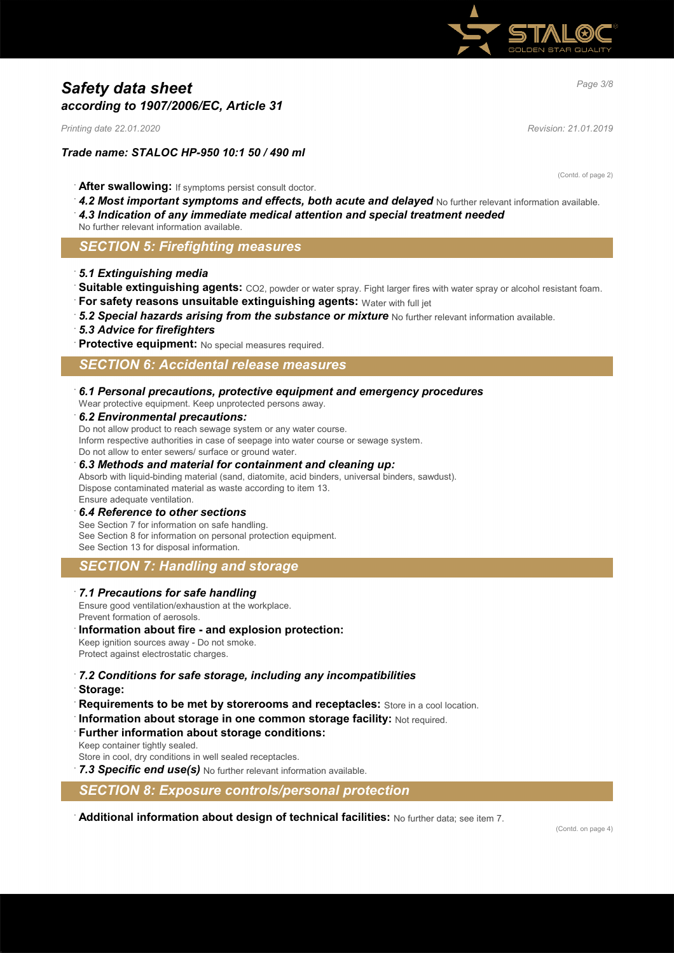

## *Page 3/8 Safety data sheet according to 1907/2006/EC, Article 31*

*Printing date 22.01.2020 Revision: 21.01.2019*

### *Trade name: STALOC HP-950 10:1 50 / 490 ml*

(Contd. of page 2)

- · **After swallowing:** If symptoms persist consult doctor.
- 4.2 Most important symptoms and effects, both acute and delayed No further relevant information available.
- · *4.3 Indication of any immediate medical attention and special treatment needed*
- No further relevant information available.

### *SECTION 5: Firefighting measures*

- · *5.1 Extinguishing media*
- Suitable extinguishing agents: CO2, powder or water spray. Fight larger fires with water spray or alcohol resistant foam.
- · **For safety reasons unsuitable extinguishing agents:** Water with full jet
- 5.2 Special hazards arising from the substance or mixture No further relevant information available.
- · *5.3 Advice for firefighters*
- **Protective equipment:** No special measures required.

## *SECTION 6: Accidental release measures*

· *6.1 Personal precautions, protective equipment and emergency procedures*

Wear protective equipment. Keep unprotected persons away.

### · *6.2 Environmental precautions:*

Do not allow product to reach sewage system or any water course. Inform respective authorities in case of seepage into water course or sewage system. Do not allow to enter sewers/ surface or ground water.

### · *6.3 Methods and material for containment and cleaning up:*

Absorb with liquid-binding material (sand, diatomite, acid binders, universal binders, sawdust). Dispose contaminated material as waste according to item 13. Ensure adequate ventilation.

### · *6.4 Reference to other sections*

See Section 7 for information on safe handling. See Section 8 for information on personal protection equipment. See Section 13 for disposal information.

### *SECTION 7: Handling and storage*

### · *7.1 Precautions for safe handling*

Ensure good ventilation/exhaustion at the workplace. Prevent formation of aerosols.

### · **Information about fire - and explosion protection:**

Keep ignition sources away - Do not smoke. Protect against electrostatic charges.

# · *7.2 Conditions for safe storage, including any incompatibilities*

- · **Storage:**
- **Requirements to be met by storerooms and receptacles:** Store in a cool location.
- · **Information about storage in one common storage facility:** Not required.
- **Further information about storage conditions:**

Keep container tightly sealed.

Store in cool, dry conditions in well sealed receptacles.

7.3 Specific end use(s) No further relevant information available.

*SECTION 8: Exposure controls/personal protection*

· **Additional information about design of technical facilities:** No further data; see item 7.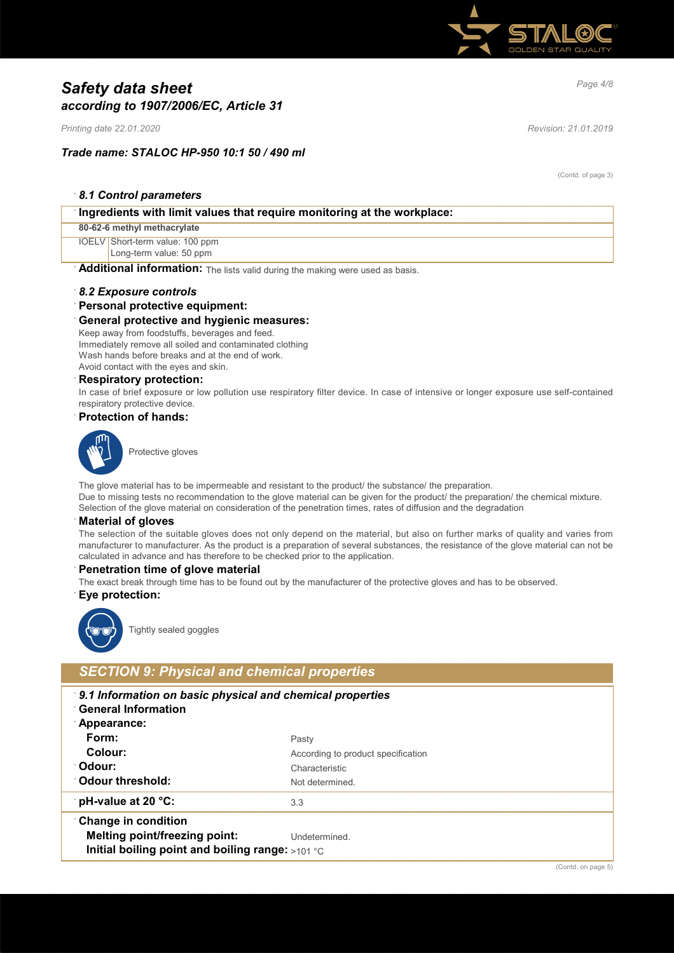

## *Page 4/8 Safety data sheet according to 1907/2006/EC, Article 31*

*Printing date 22.01.2020 Revision: 21.01.2019*

### *Trade name: STALOC HP-950 10:1 50 / 490 ml*

(Contd. of page 3)

| 8.1 Control parameters |  |
|------------------------|--|
|------------------------|--|

| $\lceil$ ingredients with limit values that require monitoring at the workplace: |  |  |
|----------------------------------------------------------------------------------|--|--|
| 80-62-6 methyl methacrylate                                                      |  |  |
| IOELV Short-term value: 100 ppm                                                  |  |  |
| Long-term value: 50 ppm                                                          |  |  |
| Additional information: The lists valid during the making were used as basis.    |  |  |

### · *8.2 Exposure controls*

### · **Personal protective equipment:**

### · **General protective and hygienic measures:**

Keep away from foodstuffs, beverages and feed. Immediately remove all soiled and contaminated clothing Wash hands before breaks and at the end of work. Avoid contact with the eyes and skin.

#### · **Respiratory protection:**

In case of brief exposure or low pollution use respiratory filter device. In case of intensive or longer exposure use self-contained respiratory protective device.

### · **Protection of hands:**



Protective gloves

The glove material has to be impermeable and resistant to the product/ the substance/ the preparation. Due to missing tests no recommendation to the glove material can be given for the product/ the preparation/ the chemical mixture. Selection of the glove material on consideration of the penetration times, rates of diffusion and the degradation

#### · **Material of gloves**

The selection of the suitable gloves does not only depend on the material, but also on further marks of quality and varies from manufacturer to manufacturer. As the product is a preparation of several substances, the resistance of the glove material can not be calculated in advance and has therefore to be checked prior to the application.

### · **Penetration time of glove material**

The exact break through time has to be found out by the manufacturer of the protective gloves and has to be observed.

### · **Eye protection:**



Tightly sealed goggles

## *SECTION 9: Physical and chemical properties*

- · *9.1 Information on basic physical and chemical properties*
- · **General Information**
- · **Appearance:**
- Form: Pasty
- **Colour:** According to product specification
- 
- 

**Odour:** Characteristic

- **Odour threshold:** Not determined.
- **pH-value at 20 °C:** 3.3

· **Change in condition**

- **Melting point/freezing point:** Undetermined.
- **Initial boiling point and boiling range:** >101 °C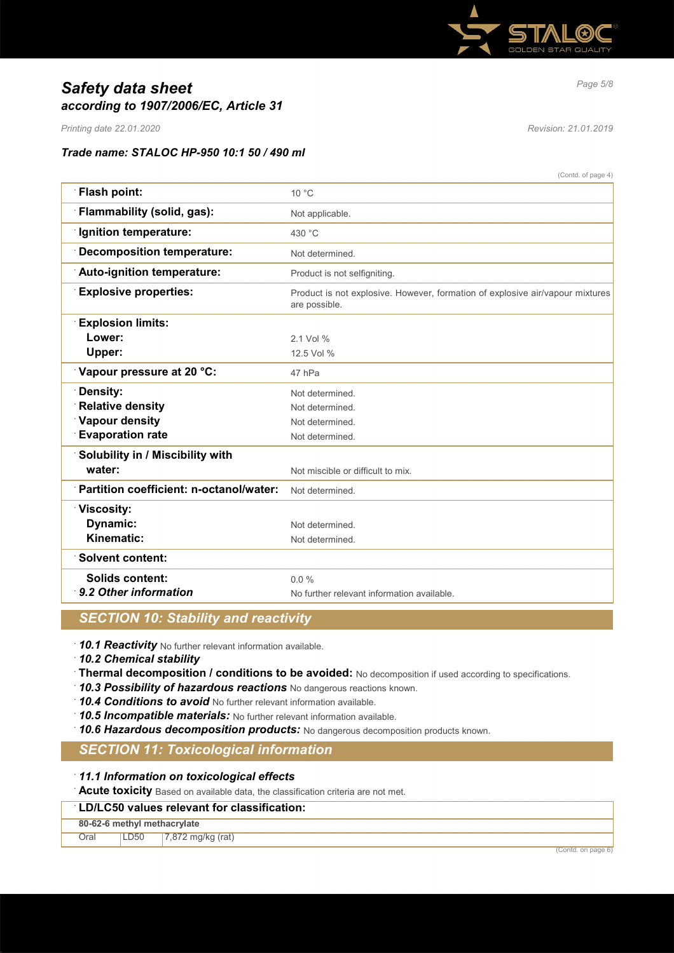

## *Page 5/8 Safety data sheet according to 1907/2006/EC, Article 31*

*Printing date 22.01.2020 Revision: 21.01.2019*

### *Trade name: STALOC HP-950 10:1 50 / 490 ml*

 $(0, 0, 1)$  of page  $4$ )

|                                         | (Conta, or page 4)                                                                             |
|-----------------------------------------|------------------------------------------------------------------------------------------------|
| Flash point:                            | $10^{\circ}$ C                                                                                 |
| Flammability (solid, gas):              | Not applicable.                                                                                |
| Ignition temperature:                   | 430 °C                                                                                         |
| <b>Decomposition temperature:</b>       | Not determined.                                                                                |
| Auto-ignition temperature:              | Product is not selfigniting.                                                                   |
| <b>Explosive properties:</b>            | Product is not explosive. However, formation of explosive air/vapour mixtures<br>are possible. |
| <b>Explosion limits:</b>                |                                                                                                |
| Lower:                                  | 2.1 Vol %                                                                                      |
| Upper:                                  | 12.5 Vol %                                                                                     |
| Vapour pressure at 20 °C:               | 47 hPa                                                                                         |
| Density:                                | Not determined.                                                                                |
| <b>Relative density</b>                 | Not determined.                                                                                |
| Vapour density                          | Not determined.                                                                                |
| <b>Evaporation rate</b>                 | Not determined.                                                                                |
| Solubility in / Miscibility with        |                                                                                                |
| water:                                  | Not miscible or difficult to mix.                                                              |
| Partition coefficient: n-octanol/water: | Not determined.                                                                                |
| <b>Viscosity:</b>                       |                                                                                                |
| Dynamic:                                | Not determined.                                                                                |
| Kinematic:                              | Not determined.                                                                                |
| <b>Solvent content:</b>                 |                                                                                                |
| Solids content:                         | $0.0\%$                                                                                        |
| 9.2 Other information                   | No further relevant information available.                                                     |
|                                         |                                                                                                |

## *SECTION 10: Stability and reactivity*

· *10.1 Reactivity* No further relevant information available.

· *10.2 Chemical stability*

· **Thermal decomposition / conditions to be avoided:** No decomposition if used according to specifications.

· *10.3 Possibility of hazardous reactions* No dangerous reactions known.

· *10.4 Conditions to avoid* No further relevant information available.

· *10.5 Incompatible materials:* No further relevant information available.

· *10.6 Hazardous decomposition products:* No dangerous decomposition products known.

## *SECTION 11: Toxicological information*

· *11.1 Information on toxicological effects*

· **Acute toxicity** Based on available data, the classification criteria are not met.

### · **LD/LC50 values relevant for classification:**

**80-62-6 methyl methacrylate**

Oral LD50 7,872 mg/kg (rat)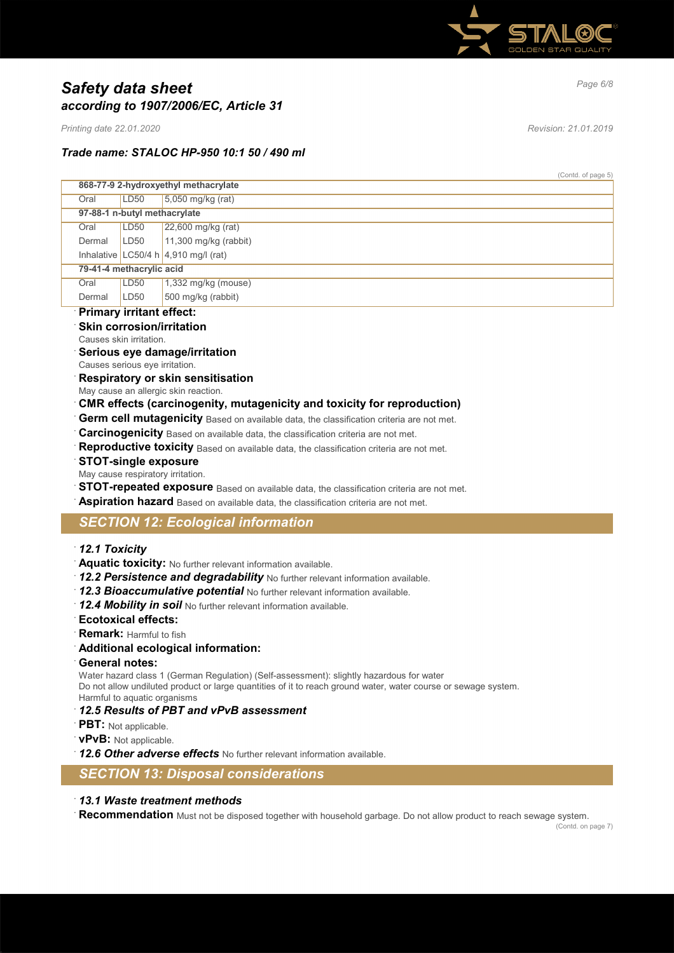

## *Page 6/8 Safety data sheet according to 1907/2006/EC, Article 31*

*Printing date 22.01.2020 Revision: 21.01.2019*

### *Trade name: STALOC HP-950 10:1 50 / 490 ml*

(Contd. of page 5)

|        | 868-77-9 2-hydroxyethyl methacrylate |                                                  |  |
|--------|--------------------------------------|--------------------------------------------------|--|
| Oral   | LD <sub>50</sub>                     | $5.050$ mg/kg (rat)                              |  |
|        | 97-88-1 n-butyl methacrylate         |                                                  |  |
| Oral   | LD <sub>50</sub>                     | 22,600 mg/kg (rat)                               |  |
| Dermal | LD50                                 | $11,300$ mg/kg (rabbit)                          |  |
|        |                                      | Inhalative LC50/4 h $ 4,910 \text{ mg/II}$ (rat) |  |
|        | 79-41-4 methacrylic acid             |                                                  |  |
| Oral   | LD <sub>50</sub>                     | $1,332$ mg/kg (mouse)                            |  |
| Dermal | LD <sub>50</sub>                     | 500 mg/kg (rabbit)                               |  |

### · **Primary irritant effect:**

- **Skin corrosion/irritation**
- Causes skin irritation.
- · **Serious eye damage/irritation**
- Causes serious eye irritation.
- · **Respiratory or skin sensitisation**
- May cause an allergic skin reaction.
- · **CMR effects (carcinogenity, mutagenicity and toxicity for reproduction)**
- **Germ cell mutagenicity** Based on available data, the classification criteria are not met.
- **Carcinogenicity** Based on available data, the classification criteria are not met.
- Reproductive toxicity Based on available data, the classification criteria are not met.

### · **STOT-single exposure**

- May cause respiratory irritation.
- **STOT-repeated exposure** Based on available data, the classification criteria are not met.
- **Aspiration hazard** Based on available data, the classification criteria are not met.

## *SECTION 12: Ecological information*

- · *12.1 Toxicity*
- · **Aquatic toxicity:** No further relevant information available.
- · *12.2 Persistence and degradability* No further relevant information available.
- · *12.3 Bioaccumulative potential* No further relevant information available.
- · *12.4 Mobility in soil* No further relevant information available.
- · **Ecotoxical effects:**
- · **Remark:** Harmful to fish
- · **Additional ecological information:**
- · **General notes:**

Water hazard class 1 (German Regulation) (Self-assessment): slightly hazardous for water Do not allow undiluted product or large quantities of it to reach ground water, water course or sewage system. Harmful to aquatic organisms

- · *12.5 Results of PBT and vPvB assessment*
- · **PBT:** Not applicable.
- · **vPvB:** Not applicable.
- · *12.6 Other adverse effects* No further relevant information available.
- *SECTION 13: Disposal considerations*

### · *13.1 Waste treatment methods*

· **Recommendation** Must not be disposed together with household garbage. Do not allow product to reach sewage system.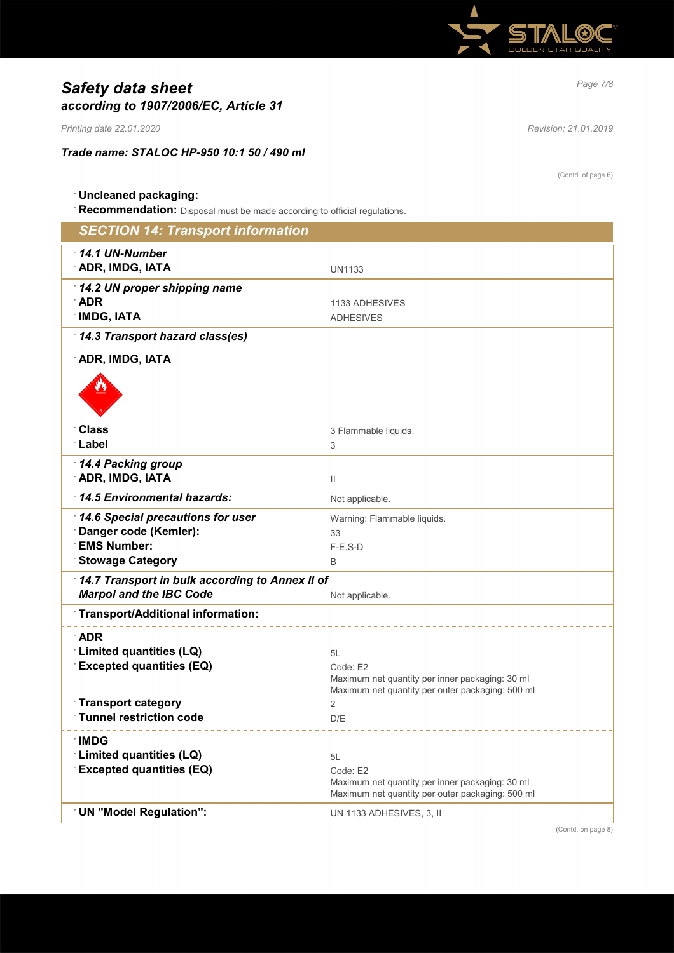

# *Page 7/8 Safety data sheet according to 1907/2006/EC, Article 31*

*Printing date 22.01.2020 Revision: 21.01.2019*

*Trade name: STALOC HP-950 10:1 50 / 490 ml*

(Contd. of page 6)

## · **Uncleaned packaging:**

· **Recommendation:** Disposal must be made according to official regulations.

| <b>SECTION 14: Transport information</b>                                                                    |                                                                                                                       |  |
|-------------------------------------------------------------------------------------------------------------|-----------------------------------------------------------------------------------------------------------------------|--|
| $\cdot$ 14.1 UN-Number<br><b>ADR, IMDG, IATA</b>                                                            | <b>UN1133</b>                                                                                                         |  |
| 14.2 UN proper shipping name<br>$\Delta$ DR<br><b>IMDG, IATA</b>                                            | 1133 ADHESIVES<br><b>ADHESIVES</b>                                                                                    |  |
| 14.3 Transport hazard class(es)                                                                             |                                                                                                                       |  |
| ADR, IMDG, IATA                                                                                             |                                                                                                                       |  |
|                                                                                                             |                                                                                                                       |  |
| ∵Class                                                                                                      | 3 Flammable liquids.                                                                                                  |  |
| ∴Label                                                                                                      | 3                                                                                                                     |  |
| 14.4 Packing group<br><b>ADR, IMDG, IATA</b>                                                                | $\begin{array}{c} \hline \end{array}$                                                                                 |  |
| 14.5 Environmental hazards:                                                                                 | Not applicable.                                                                                                       |  |
| 14.6 Special precautions for user<br>Danger code (Kemler):<br><b>EMS Number:</b><br><b>Stowage Category</b> | Warning: Flammable liquids.<br>33<br>$F-E$ , S-D<br>B                                                                 |  |
| 14.7 Transport in bulk according to Annex II of<br><b>Marpol and the IBC Code</b>                           | Not applicable.                                                                                                       |  |
| Transport/Additional information:                                                                           |                                                                                                                       |  |
| $\Delta$ DR                                                                                                 |                                                                                                                       |  |
| Limited quantities (LQ)<br><b>Excepted quantities (EQ)</b>                                                  | 5L<br>Code: E2<br>Maximum net quantity per inner packaging: 30 ml<br>Maximum net quantity per outer packaging: 500 ml |  |
| <b>Transport category</b>                                                                                   | 2                                                                                                                     |  |
| <b>Tunnel restriction code</b>                                                                              | D/E                                                                                                                   |  |
| <b>IMDG</b><br>Limited quantities (LQ)<br><b>Excepted quantities (EQ)</b>                                   | 5L<br>Code: E2<br>Maximum net quantity per inner packaging: 30 ml<br>Maximum net quantity per outer packaging: 500 ml |  |
| <b>UN "Model Regulation":</b>                                                                               | UN 1133 ADHESIVES, 3, II                                                                                              |  |

(Contd. on page 8)